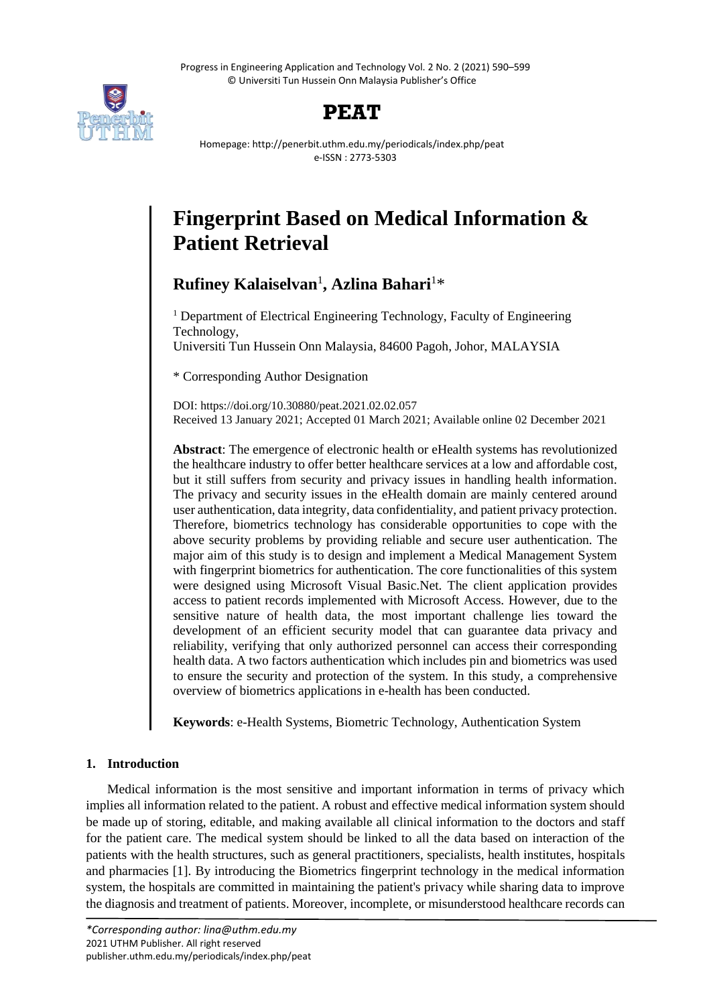Progress in Engineering Application and Technology Vol. 2 No. 2 (2021) 590–599 © Universiti Tun Hussein Onn Malaysia Publisher's Office





Homepage: http://penerbit.uthm.edu.my/periodicals/index.php/peat e-ISSN : 2773-5303

# **Fingerprint Based on Medical Information & Patient Retrieval**

**Rufiney Kalaiselvan**<sup>1</sup> **, Azlina Bahari**<sup>1</sup>\*

<sup>1</sup> Department of Electrical Engineering Technology, Faculty of Engineering Technology, Universiti Tun Hussein Onn Malaysia, 84600 Pagoh, Johor, MALAYSIA

\* Corresponding Author Designation

DOI: https://doi.org/10.30880/peat.2021.02.02.057 Received 13 January 2021; Accepted 01 March 2021; Available online 02 December 2021

**Abstract**: The emergence of electronic health or eHealth systems has revolutionized the healthcare industry to offer better healthcare services at a low and affordable cost, but it still suffers from security and privacy issues in handling health information. The privacy and security issues in the eHealth domain are mainly centered around user authentication, data integrity, data confidentiality, and patient privacy protection. Therefore, biometrics technology has considerable opportunities to cope with the above security problems by providing reliable and secure user authentication. The major aim of this study is to design and implement a Medical Management System with fingerprint biometrics for authentication. The core functionalities of this system were designed using Microsoft Visual Basic.Net. The client application provides access to patient records implemented with Microsoft Access. However, due to the sensitive nature of health data, the most important challenge lies toward the development of an efficient security model that can guarantee data privacy and reliability, verifying that only authorized personnel can access their corresponding health data. A two factors authentication which includes pin and biometrics was used to ensure the security and protection of the system. In this study, a comprehensive overview of biometrics applications in e-health has been conducted.

**Keywords**: e-Health Systems, Biometric Technology, Authentication System

# **1. Introduction**

Medical information is the most sensitive and important information in terms of privacy which implies all information related to the patient. A robust and effective medical information system should be made up of storing, editable, and making available all clinical information to the doctors and staff for the patient care. The medical system should be linked to all the data based on interaction of the patients with the health structures, such as general practitioners, specialists, health institutes, hospitals and pharmacies [1]. By introducing the Biometrics fingerprint technology in the medical information system, the hospitals are committed in maintaining the patient's privacy while sharing data to improve the diagnosis and treatment of patients. Moreover, incomplete, or misunderstood healthcare records can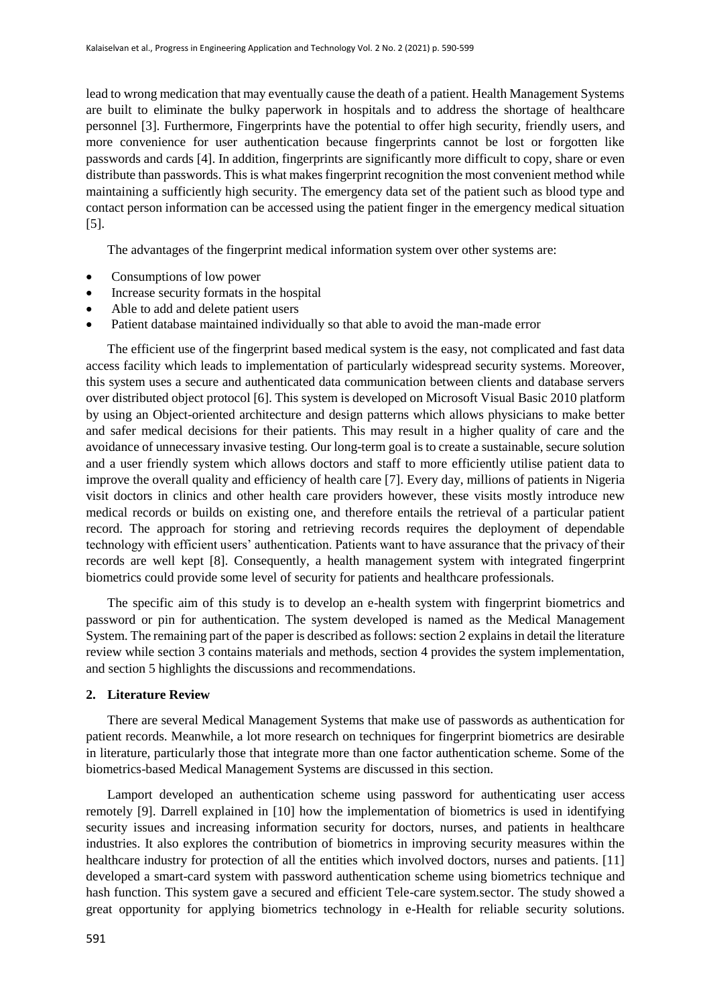lead to wrong medication that may eventually cause the death of a patient. Health Management Systems are built to eliminate the bulky paperwork in hospitals and to address the shortage of healthcare personnel [3]. Furthermore, Fingerprints have the potential to offer high security, friendly users, and more convenience for user authentication because fingerprints cannot be lost or forgotten like passwords and cards [4]. In addition, fingerprints are significantly more difficult to copy, share or even distribute than passwords. This is what makes fingerprint recognition the most convenient method while maintaining a sufficiently high security. The emergency data set of the patient such as blood type and contact person information can be accessed using the patient finger in the emergency medical situation [5].

The advantages of the fingerprint medical information system over other systems are:

- Consumptions of low power
- Increase security formats in the hospital
- Able to add and delete patient users
- Patient database maintained individually so that able to avoid the man-made error

The efficient use of the fingerprint based medical system is the easy, not complicated and fast data access facility which leads to implementation of particularly widespread security systems. Moreover, this system uses a secure and authenticated data communication between clients and database servers over distributed object protocol [6]. This system is developed on Microsoft Visual Basic 2010 platform by using an Object-oriented architecture and design patterns which allows physicians to make better and safer medical decisions for their patients. This may result in a higher quality of care and the avoidance of unnecessary invasive testing. Our long-term goal is to create a sustainable, secure solution and a user friendly system which allows doctors and staff to more efficiently utilise patient data to improve the overall quality and efficiency of health care [7]. Every day, millions of patients in Nigeria visit doctors in clinics and other health care providers however, these visits mostly introduce new medical records or builds on existing one, and therefore entails the retrieval of a particular patient record. The approach for storing and retrieving records requires the deployment of dependable technology with efficient users' authentication. Patients want to have assurance that the privacy of their records are well kept [8]. Consequently, a health management system with integrated fingerprint biometrics could provide some level of security for patients and healthcare professionals.

The specific aim of this study is to develop an e-health system with fingerprint biometrics and password or pin for authentication. The system developed is named as the Medical Management System. The remaining part of the paper is described as follows: section 2 explains in detail the literature review while section 3 contains materials and methods, section 4 provides the system implementation, and section 5 highlights the discussions and recommendations.

#### **2. Literature Review**

There are several Medical Management Systems that make use of passwords as authentication for patient records. Meanwhile, a lot more research on techniques for fingerprint biometrics are desirable in literature, particularly those that integrate more than one factor authentication scheme. Some of the biometrics-based Medical Management Systems are discussed in this section.

Lamport developed an authentication scheme using password for authenticating user access remotely [9]. Darrell explained in [10] how the implementation of biometrics is used in identifying security issues and increasing information security for doctors, nurses, and patients in healthcare industries. It also explores the contribution of biometrics in improving security measures within the healthcare industry for protection of all the entities which involved doctors, nurses and patients. [11] developed a smart-card system with password authentication scheme using biometrics technique and hash function. This system gave a secured and efficient Tele-care system.sector. The study showed a great opportunity for applying biometrics technology in e-Health for reliable security solutions.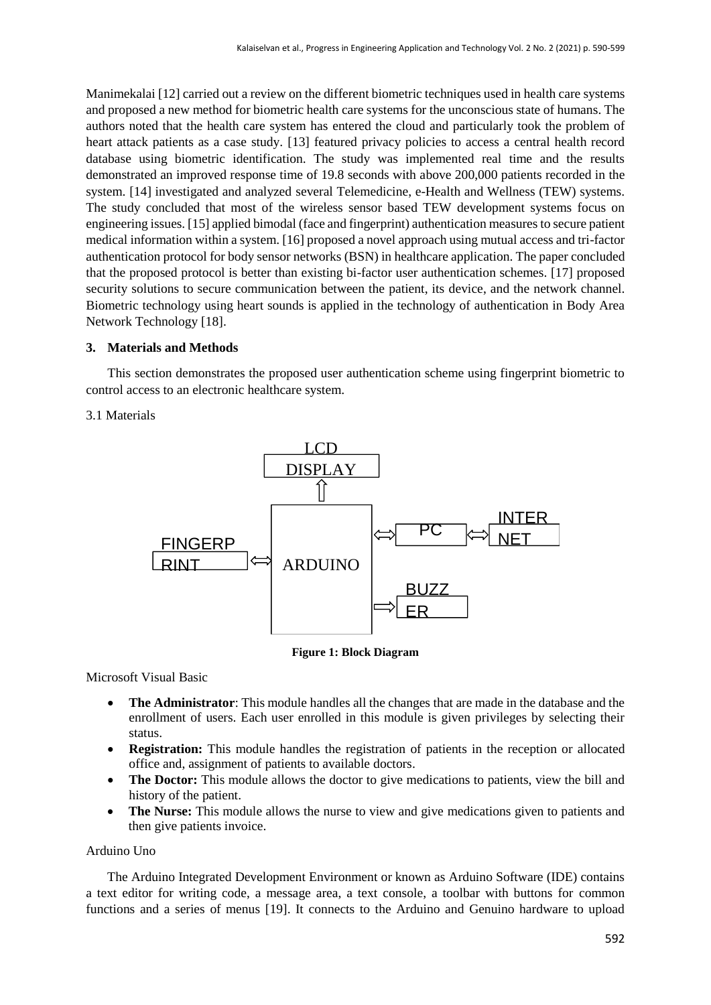Manimekalai [12] carried out a review on the different biometric techniques used in health care systems and proposed a new method for biometric health care systems for the unconscious state of humans. The authors noted that the health care system has entered the cloud and particularly took the problem of heart attack patients as a case study. [13] featured privacy policies to access a central health record database using biometric identification. The study was implemented real time and the results demonstrated an improved response time of 19.8 seconds with above 200,000 patients recorded in the system. [14] investigated and analyzed several Telemedicine, e-Health and Wellness (TEW) systems. The study concluded that most of the wireless sensor based TEW development systems focus on engineering issues. [15] applied bimodal (face and fingerprint) authentication measures to secure patient medical information within a system. [16] proposed a novel approach using mutual access and tri-factor authentication protocol for body sensor networks (BSN) in healthcare application. The paper concluded that the proposed protocol is better than existing bi-factor user authentication schemes. [17] proposed security solutions to secure communication between the patient, its device, and the network channel. Biometric technology using heart sounds is applied in the technology of authentication in Body Area Network Technology [18].

## **3. Materials and Methods**

This section demonstrates the proposed user authentication scheme using fingerprint biometric to control access to an electronic healthcare system.

## 3.1 Materials



**Figure 1: Block Diagram**

Microsoft Visual Basic

- **The Administrator**: This module handles all the changes that are made in the database and the enrollment of users. Each user enrolled in this module is given privileges by selecting their status.
- **Registration:** This module handles the registration of patients in the reception or allocated office and, assignment of patients to available doctors.
- **The Doctor:** This module allows the doctor to give medications to patients, view the bill and history of the patient.
- The Nurse: This module allows the nurse to view and give medications given to patients and then give patients invoice.

## Arduino Uno

The Arduino Integrated Development Environment or known as Arduino Software (IDE) contains a text editor for writing code, a message area, a text console, a toolbar with buttons for common functions and a series of menus [19]. It connects to the Arduino and Genuino hardware to upload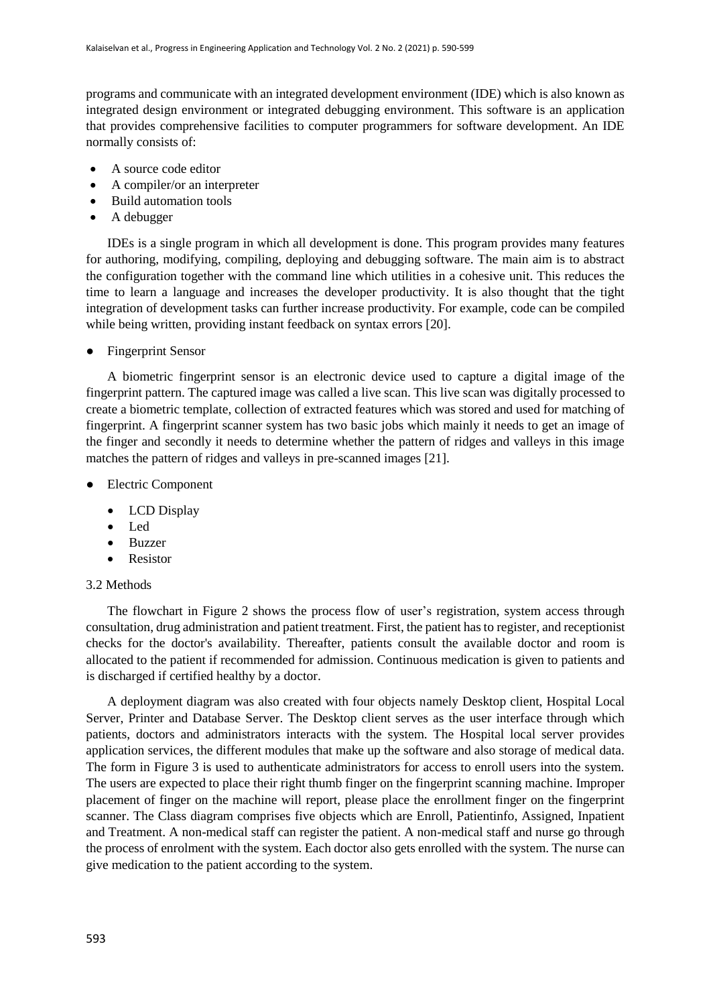programs and communicate with an integrated development environment (IDE) which is also known as integrated design environment or integrated debugging environment. This software is an application that provides comprehensive facilities to computer programmers for software development. An IDE normally consists of:

- A source code editor
- A compiler/or an interpreter
- Build automation tools
- A debugger

IDEs is a single program in which all development is done. This program provides many features for authoring, modifying, compiling, deploying and debugging software. The main aim is to abstract the configuration together with the command line which utilities in a cohesive unit. This reduces the time to learn a language and increases the developer productivity. It is also thought that the tight integration of development tasks can further increase productivity. For example, code can be compiled while being written, providing instant feedback on syntax errors [20].

● Fingerprint Sensor

A biometric fingerprint sensor is an electronic device used to capture a digital image of the fingerprint pattern. The captured image was called a live scan. This live scan was digitally processed to create a biometric template, collection of extracted features which was stored and used for matching of fingerprint. A fingerprint scanner system has two basic jobs which mainly it needs to get an image of the finger and secondly it needs to determine whether the pattern of ridges and valleys in this image matches the pattern of ridges and valleys in pre-scanned images [21].

- Electric Component
	- LCD Display
	- Led
	- Buzzer
	- Resistor

## 3.2 Methods

The flowchart in Figure 2 shows the process flow of user's registration, system access through consultation, drug administration and patient treatment. First, the patient has to register, and receptionist checks for the doctor's availability. Thereafter, patients consult the available doctor and room is allocated to the patient if recommended for admission. Continuous medication is given to patients and is discharged if certified healthy by a doctor.

A deployment diagram was also created with four objects namely Desktop client, Hospital Local Server, Printer and Database Server. The Desktop client serves as the user interface through which patients, doctors and administrators interacts with the system. The Hospital local server provides application services, the different modules that make up the software and also storage of medical data. The form in Figure 3 is used to authenticate administrators for access to enroll users into the system. The users are expected to place their right thumb finger on the fingerprint scanning machine. Improper placement of finger on the machine will report, please place the enrollment finger on the fingerprint scanner. The Class diagram comprises five objects which are Enroll, Patientinfo, Assigned, Inpatient and Treatment. A non-medical staff can register the patient. A non-medical staff and nurse go through the process of enrolment with the system. Each doctor also gets enrolled with the system. The nurse can give medication to the patient according to the system.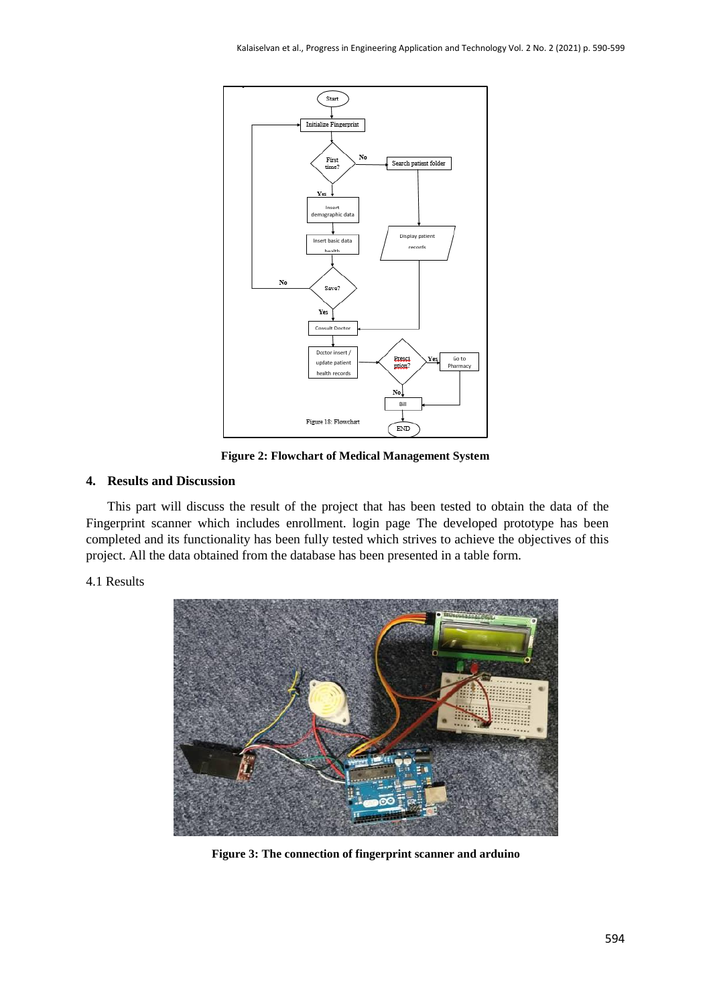

**Figure 2: Flowchart of Medical Management System**

## **4. Results and Discussion**

This part will discuss the result of the project that has been tested to obtain the data of the Fingerprint scanner which includes enrollment. login page The developed prototype has been completed and its functionality has been fully tested which strives to achieve the objectives of this project. All the data obtained from the database has been presented in a table form.

4.1 Results



**Figure 3: The connection of fingerprint scanner and arduino**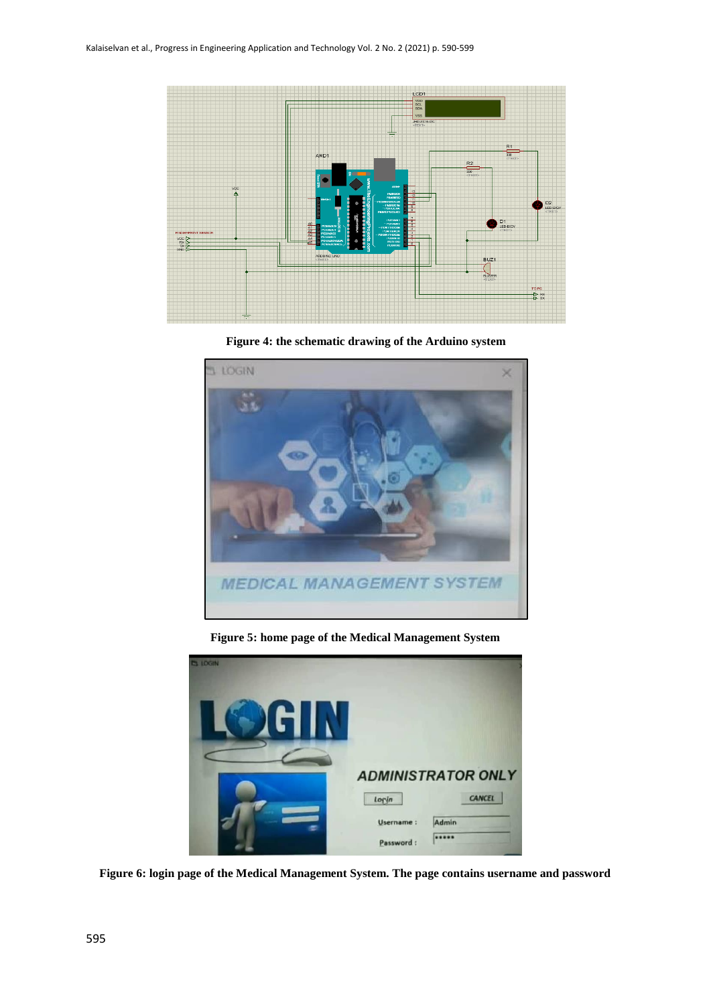

**Figure 4: the schematic drawing of the Arduino system**



**Figure 5: home page of the Medical Management System**



**Figure 6: login page of the Medical Management System. The page contains username and password**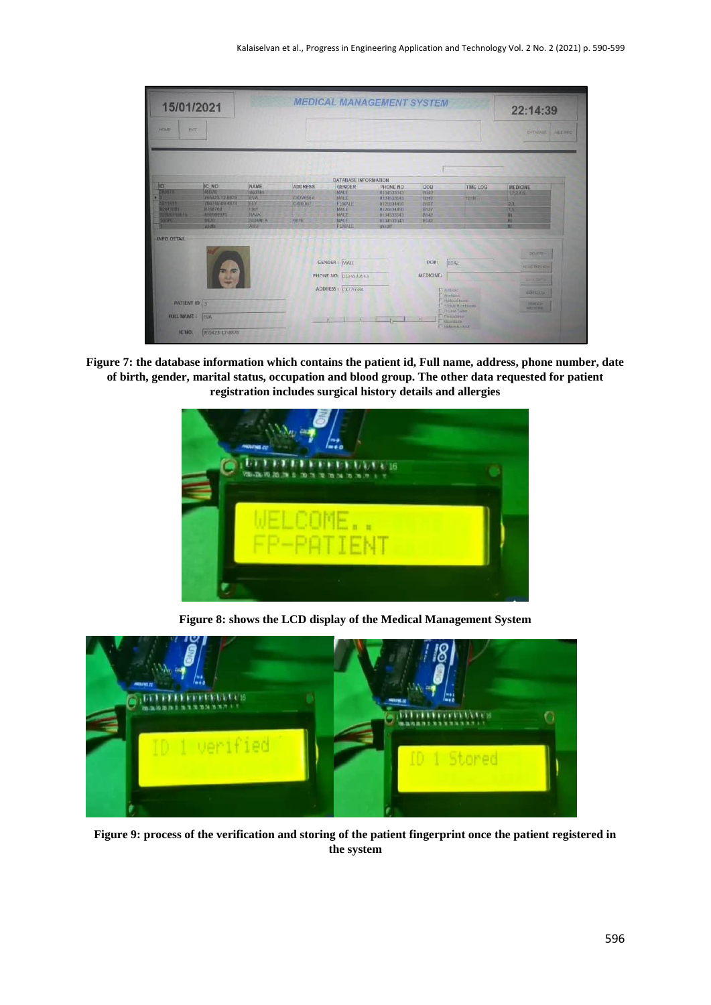

**Figure 7: the database information which contains the patient id, Full name, address, phone number, date of birth, gender, marital status, occupation and blood group. The other data requested for patient registration includes surgical history details and allergies**



**Figure 8: shows the LCD display of the Medical Management System**



**Figure 9: process of the verification and storing of the patient fingerprint once the patient registered in the system**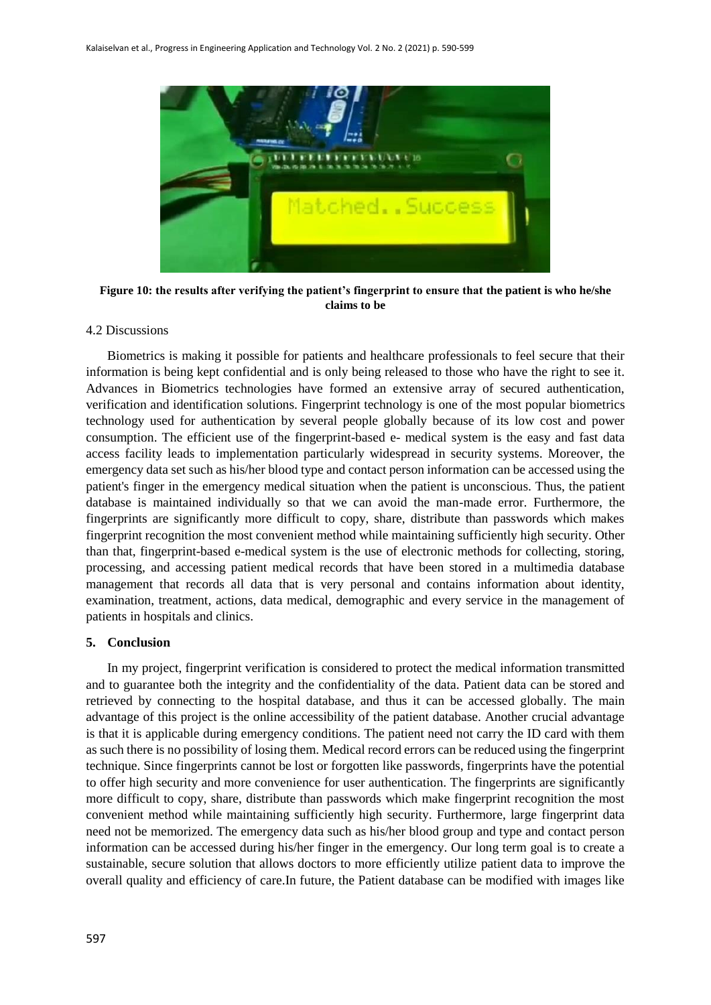

**Figure 10: the results after verifying the patient's fingerprint to ensure that the patient is who he/she claims to be**

#### 4.2 Discussions

Biometrics is making it possible for patients and healthcare professionals to feel secure that their information is being kept confidential and is only being released to those who have the right to see it. Advances in Biometrics technologies have formed an extensive array of secured authentication, verification and identification solutions. Fingerprint technology is one of the most popular biometrics technology used for authentication by several people globally because of its low cost and power consumption. The efficient use of the fingerprint-based e- medical system is the easy and fast data access facility leads to implementation particularly widespread in security systems. Moreover, the emergency data set such as his/her blood type and contact person information can be accessed using the patient's finger in the emergency medical situation when the patient is unconscious. Thus, the patient database is maintained individually so that we can avoid the man-made error. Furthermore, the fingerprints are significantly more difficult to copy, share, distribute than passwords which makes fingerprint recognition the most convenient method while maintaining sufficiently high security. Other than that, fingerprint-based e-medical system is the use of electronic methods for collecting, storing, processing, and accessing patient medical records that have been stored in a multimedia database management that records all data that is very personal and contains information about identity, examination, treatment, actions, data medical, demographic and every service in the management of patients in hospitals and clinics.

## **5. Conclusion**

In my project, fingerprint verification is considered to protect the medical information transmitted and to guarantee both the integrity and the confidentiality of the data. Patient data can be stored and retrieved by connecting to the hospital database, and thus it can be accessed globally. The main advantage of this project is the online accessibility of the patient database. Another crucial advantage is that it is applicable during emergency conditions. The patient need not carry the ID card with them as such there is no possibility of losing them. Medical record errors can be reduced using the fingerprint technique. Since fingerprints cannot be lost or forgotten like passwords, fingerprints have the potential to offer high security and more convenience for user authentication. The fingerprints are significantly more difficult to copy, share, distribute than passwords which make fingerprint recognition the most convenient method while maintaining sufficiently high security. Furthermore, large fingerprint data need not be memorized. The emergency data such as his/her blood group and type and contact person information can be accessed during his/her finger in the emergency. Our long term goal is to create a sustainable, secure solution that allows doctors to more efficiently utilize patient data to improve the overall quality and efficiency of care.In future, the Patient database can be modified with images like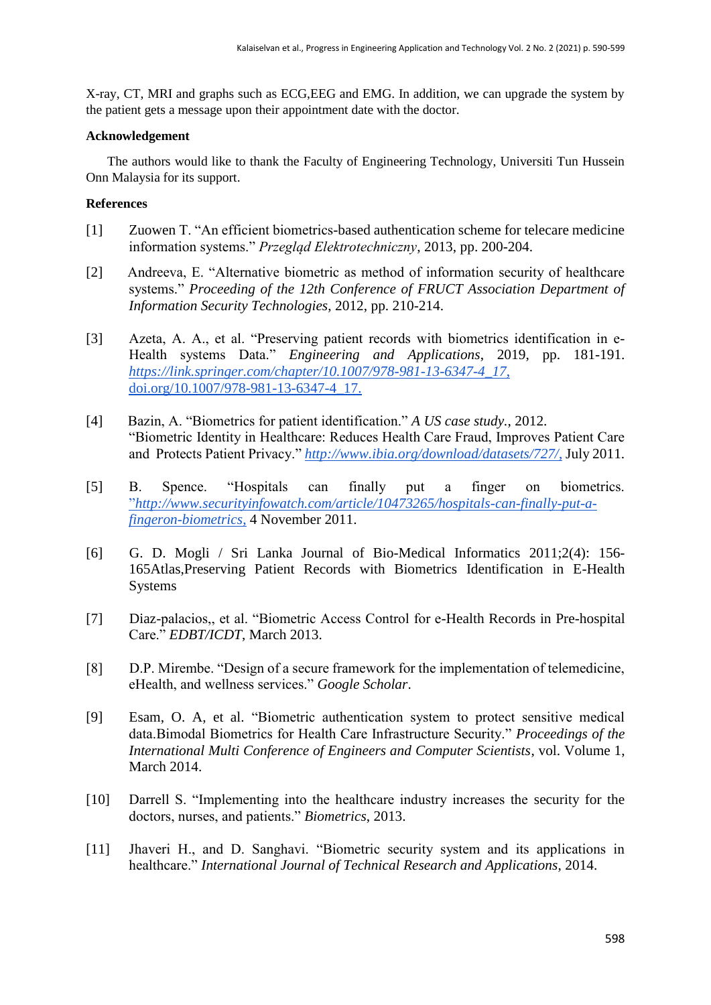X-ray, CT, MRI and graphs such as ECG,EEG and EMG. In addition, we can upgrade the system by the patient gets a message upon their appointment date with the doctor.

## **Acknowledgement**

The authors would like to thank the Faculty of Engineering Technology, Universiti Tun Hussein Onn Malaysia for its support.

## **References**

- [1] Zuowen T. "An efficient biometrics-based authentication scheme for telecare medicine information systems." *Przegląd Elektrotechniczny*, 2013, pp. 200-204.
- [2] Andreeva, E. "Alternative biometric as method of information security of healthcare systems." *Proceeding of the 12th Conference of FRUCT Association Department of Information Security Technologies*, 2012, pp. 210-214.
- [3] Azeta, A. A., et al. "Preserving patient records with biometrics identification in e-Health systems Data." *Engineering and Applications*, 2019, pp. 181-191. *[https://link.springer.com/chapter/10.1007/978-981-13-6347-4\\_17](https://link.springer.com/chapter/10.1007/978-981-13-6347-4_17,)*[,](https://link.springer.com/chapter/10.1007/978-981-13-6347-4_17,)  [doi.org/10.1007/978-981-13-6347-4\\_17.](https://link.springer.com/chapter/10.1007/978-981-13-6347-4_17,)
- [4] Bazin, A. "Biometrics for patient identification." *A US case study.*, 2012. "Biometric Identity in Healthcare: Reduces Health Care Fraud, Improves Patient Care and Protects Patient Privacy." *[http://www.ibia.org/download/datasets/727/](http://www.ibia.org/download/datasets/727/,)*[,](http://www.ibia.org/download/datasets/727/,) July 2011.
- [5] B. Spence. "Hospitals can finally put a finger on biometrics. ["](http://www.securityinfowatch.com/article/10473265/hospitals-can-finally-put-a-fingeron-biometrics,)*[http://www.securityinfowatch.com/article/10473265/hospitals-can-finally-put-a](http://www.securityinfowatch.com/article/10473265/hospitals-can-finally-put-a-fingeron-biometrics,)[fingeron-biometrics](http://www.securityinfowatch.com/article/10473265/hospitals-can-finally-put-a-fingeron-biometrics,)*[,](http://www.securityinfowatch.com/article/10473265/hospitals-can-finally-put-a-fingeron-biometrics,) 4 November 2011.
- [6] G. D. Mogli / Sri Lanka Journal of Bio-Medical Informatics 2011;2(4): 156- 165Atlas,Preserving Patient Records with Biometrics Identification in E-Health Systems
- [7] Diaz-palacios,, et al. "Biometric Access Control for e-Health Records in Pre-hospital Care." *EDBT/ICDT*, March 2013.
- [8] D.P. Mirembe. "Design of a secure framework for the implementation of telemedicine, eHealth, and wellness services." *Google Scholar*.
- [9] Esam, O. A, et al. "Biometric authentication system to protect sensitive medical data.Bimodal Biometrics for Health Care Infrastructure Security." *Proceedings of the International Multi Conference of Engineers and Computer Scientists*, vol. Volume 1, March 2014.
- [10] Darrell S. "Implementing into the healthcare industry increases the security for the doctors, nurses, and patients." *Biometrics*, 2013.
- [11] Jhaveri H., and D. Sanghavi. "Biometric security system and its applications in healthcare." *International Journal of Technical Research and Applications*, 2014.